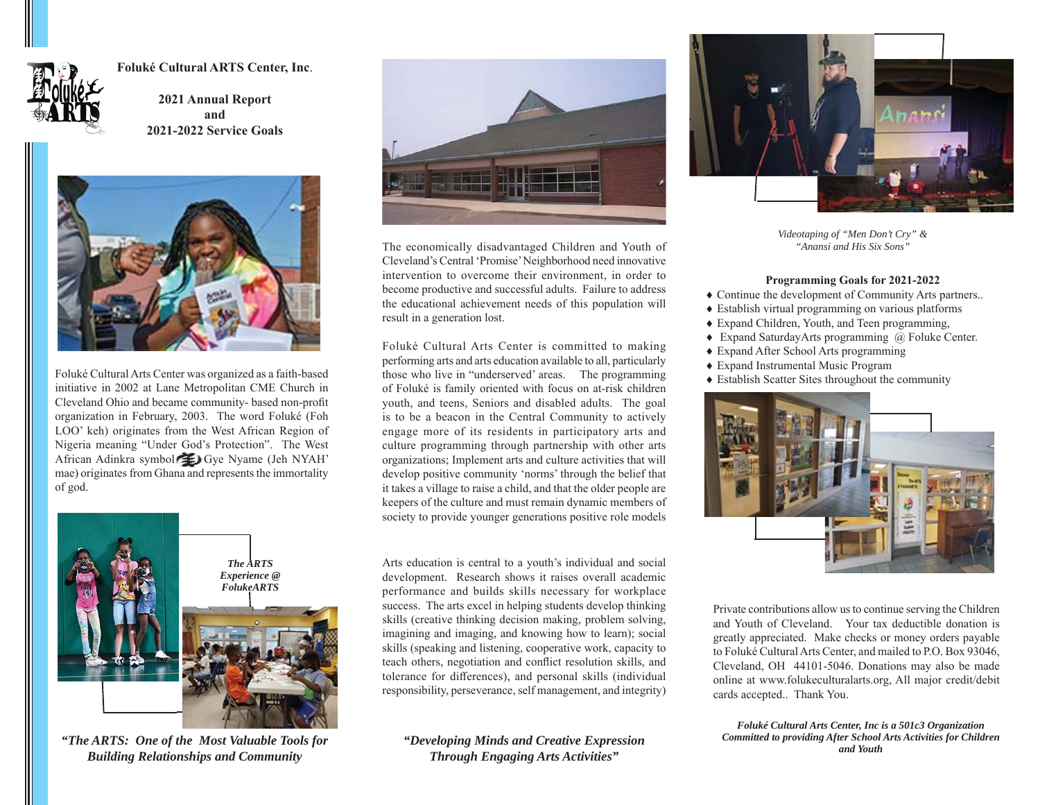

**Foluké Cultural ARTS Center, Inc**.

**2021 Annual Report and 2021-2022 Service Goals**



Foluké Cultural Arts Center was organized as a faith-based initiative in 2002 at Lane Metropolitan CME Church in Cleveland Ohio and became community- based non-profit organization in February, 2003. The word Foluké (Foh LOO' keh) originates from the West African Region of Nigeria meaning "Under God's Protection". The West African Adinkra symbol Gye Gye Nyame (Jeh NYAH' mae) originates from Ghana and represents the immortality of god.



*"Developing Minds and Creative Expression Through Engaging Arts Activities" "The ARTS: One of the Most Valuable Tools for Building Relationships and Community*



The economically disadvantaged Children and Youth of Cleveland's Central 'Promise' Neighborhood need innovative intervention to overcome their environment, in order to become productive and successful adults. Failure to address the educational achievement needs of this population will result in a generation lost.

Foluké Cultural Arts Center is committed to making performing arts and arts education available to all, particularly those who live in "underserved' areas. The programming of Foluké is family oriented with focus on at-risk children youth, and teens, Seniors and disabled adults. The goal is to be a beacon in the Central Community to actively engage more of its residents in participatory arts and culture programming through partnership with other arts organizations; Implement arts and culture activities that will develop positive community 'norms' through the belief that it takes a village to raise a child, and that the older people are keepers of the culture and must remain dynamic members of society to provide younger generations positive role models

Arts education is central to a youth's individual and social development. Research shows it raises overall academic performance and builds skills necessary for workplace success. The arts excel in helping students develop thinking skills (creative thinking decision making, problem solving, imagining and imaging, and knowing how to learn); social skills (speaking and listening, cooperative work, capacity to teach others, negotiation and conflict resolution skills, and tolerance for differences), and personal skills (individual responsibility, perseverance, self management, and integrity)



*Videotaping of "Men Don't Cry" & "Anansi and His Six Sons"*

#### **Programming Goals for 2021-2022**

- Continue the development of Community Arts partners..
- Establish virtual programming on various platforms
- Expand Children, Youth, and Teen programming,
- ◆ Expand SaturdayArts programming @ Foluke Center.
- Expand After School Arts programming
- Expand Instrumental Music Program
- Establish Scatter Sites throughout the community



Private contributions allow us to continue serving the Children and Youth of Cleveland. Your tax deductible donation is greatly appreciated. Make checks or money orders payable to Foluké Cultural Arts Center, and mailed to P.O. Box 93046, Cleveland, OH 44101-5046. Donations may also be made online at www.folukeculturalarts.org, All major credit/debit cards accepted.. Thank You.

*Foluké Cultural Arts Center, Inc is a 501c3 Organization Committed to providing After School Arts Activities for Children and Youth*